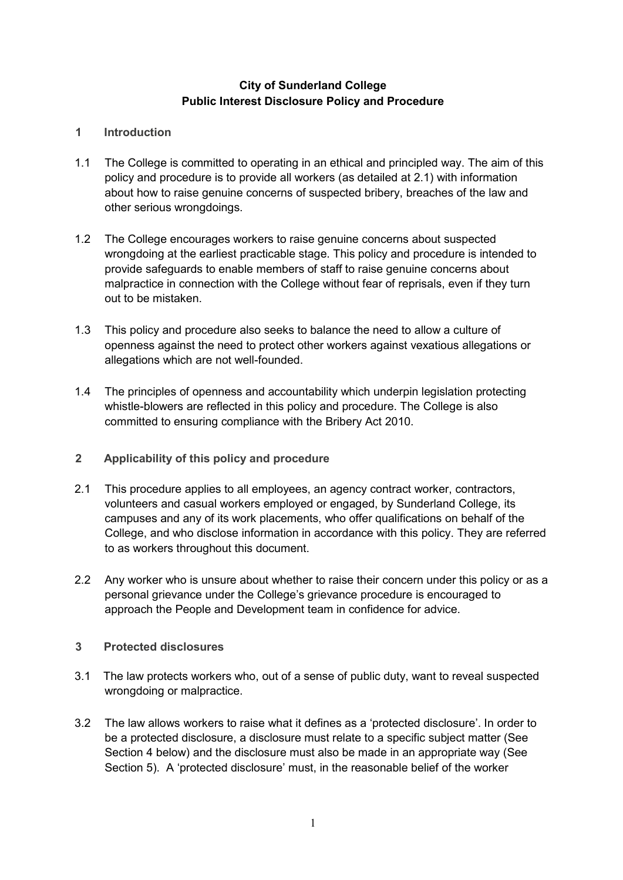# **City of Sunderland College Public Interest Disclosure Policy and Procedure**

## **1 Introduction**

- 1.1 The College is committed to operating in an ethical and principled way. The aim of this policy and procedure is to provide all workers (as detailed at 2.1) with information about how to raise genuine concerns of suspected bribery, breaches of the law and other serious wrongdoings.
- 1.2 The College encourages workers to raise genuine concerns about suspected wrongdoing at the earliest practicable stage. This policy and procedure is intended to provide safeguards to enable members of staff to raise genuine concerns about malpractice in connection with the College without fear of reprisals, even if they turn out to be mistaken.
- 1.3 This policy and procedure also seeks to balance the need to allow a culture of openness against the need to protect other workers against vexatious allegations or allegations which are not well-founded.
- 1.4 The principles of openness and accountability which underpin legislation protecting whistle-blowers are reflected in this policy and procedure. The College is also committed to ensuring compliance with the Bribery Act 2010.
- **2 Applicability of this policy and procedure**
- 2.1 This procedure applies to all employees, an agency contract worker, contractors, volunteers and casual workers employed or engaged, by Sunderland College, its campuses and any of its work placements, who offer qualifications on behalf of the College, and who disclose information in accordance with this policy. They are referred to as workers throughout this document.
- 2.2 Any worker who is unsure about whether to raise their concern under this policy or as a personal grievance under the College's grievance procedure is encouraged to approach the People and Development team in confidence for advice.
- **3 Protected disclosures**
- 3.1 The law protects workers who, out of a sense of public duty, want to reveal suspected wrongdoing or malpractice.
- 3.2 The law allows workers to raise what it defines as a 'protected disclosure'. In order to be a protected disclosure, a disclosure must relate to a specific subject matter (See Section 4 below) and the disclosure must also be made in an appropriate way (See Section 5). A 'protected disclosure' must, in the reasonable belief of the worker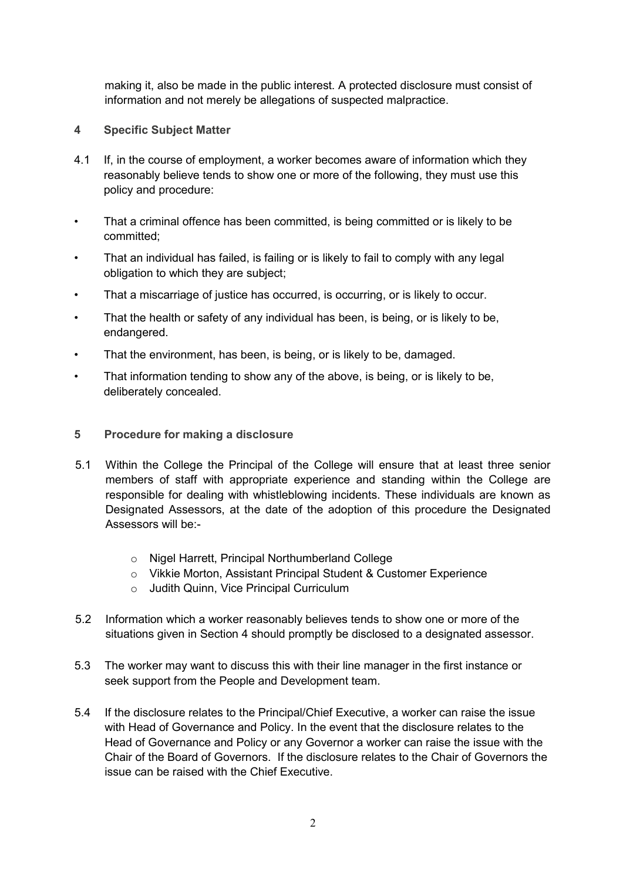making it, also be made in the public interest. A protected disclosure must consist of information and not merely be allegations of suspected malpractice.

- **4 Specific Subject Matter**
- 4.1 If, in the course of employment, a worker becomes aware of information which they reasonably believe tends to show one or more of the following, they must use this policy and procedure:
- That a criminal offence has been committed, is being committed or is likely to be committed;
- That an individual has failed, is failing or is likely to fail to comply with any legal obligation to which they are subject;
- That a miscarriage of justice has occurred, is occurring, or is likely to occur.
- That the health or safety of any individual has been, is being, or is likely to be, endangered.
- That the environment, has been, is being, or is likely to be, damaged.
- That information tending to show any of the above, is being, or is likely to be, deliberately concealed.
- **5 Procedure for making a disclosure**
- 5.1 Within the College the Principal of the College will ensure that at least three senior members of staff with appropriate experience and standing within the College are responsible for dealing with whistleblowing incidents. These individuals are known as Designated Assessors, at the date of the adoption of this procedure the Designated Assessors will be:
	- o Nigel Harrett, Principal Northumberland College
	- o Vikkie Morton, Assistant Principal Student & Customer Experience
	- o Judith Quinn, Vice Principal Curriculum
- 5.2 Information which a worker reasonably believes tends to show one or more of the situations given in Section 4 should promptly be disclosed to a designated assessor.
- 5.3 The worker may want to discuss this with their line manager in the first instance or seek support from the People and Development team.
- 5.4 If the disclosure relates to the Principal/Chief Executive, a worker can raise the issue with Head of Governance and Policy. In the event that the disclosure relates to the Head of Governance and Policy or any Governor a worker can raise the issue with the Chair of the Board of Governors. If the disclosure relates to the Chair of Governors the issue can be raised with the Chief Executive.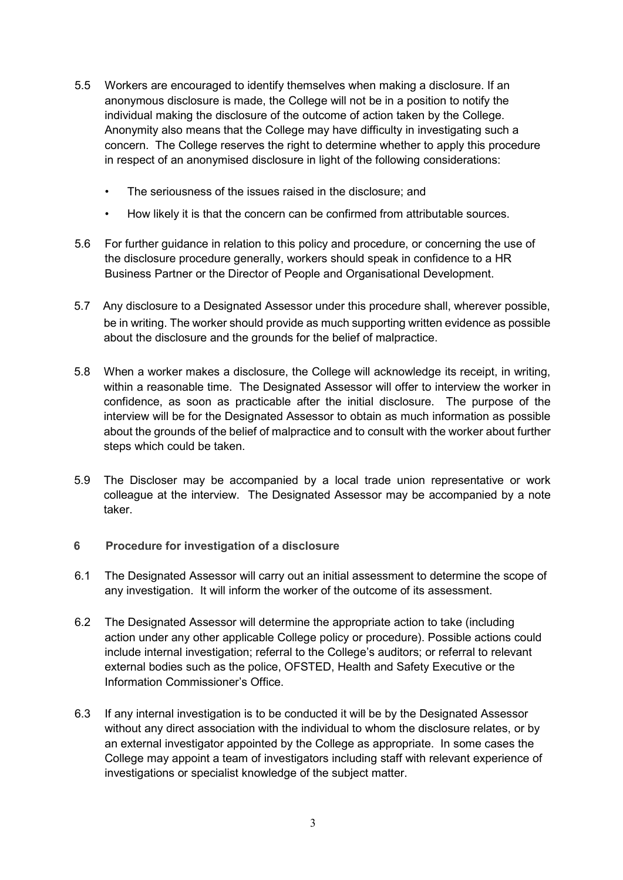- 5.5 Workers are encouraged to identify themselves when making a disclosure. If an anonymous disclosure is made, the College will not be in a position to notify the individual making the disclosure of the outcome of action taken by the College. Anonymity also means that the College may have difficulty in investigating such a concern. The College reserves the right to determine whether to apply this procedure in respect of an anonymised disclosure in light of the following considerations:
	- The seriousness of the issues raised in the disclosure; and
	- How likely it is that the concern can be confirmed from attributable sources.
- 5.6 For further guidance in relation to this policy and procedure, or concerning the use of the disclosure procedure generally, workers should speak in confidence to a HR Business Partner or the Director of People and Organisational Development.
- 5.7 Any disclosure to a Designated Assessor under this procedure shall, wherever possible, be in writing. The worker should provide as much supporting written evidence as possible about the disclosure and the grounds for the belief of malpractice.
- 5.8 When a worker makes a disclosure, the College will acknowledge its receipt, in writing, within a reasonable time. The Designated Assessor will offer to interview the worker in confidence, as soon as practicable after the initial disclosure. The purpose of the interview will be for the Designated Assessor to obtain as much information as possible about the grounds of the belief of malpractice and to consult with the worker about further steps which could be taken.
- 5.9 The Discloser may be accompanied by a local trade union representative or work colleague at the interview. The Designated Assessor may be accompanied by a note taker.
- **6 Procedure for investigation of a disclosure**
- 6.1 The Designated Assessor will carry out an initial assessment to determine the scope of any investigation. It will inform the worker of the outcome of its assessment.
- 6.2 The Designated Assessor will determine the appropriate action to take (including action under any other applicable College policy or procedure). Possible actions could include internal investigation; referral to the College's auditors; or referral to relevant external bodies such as the police, OFSTED, Health and Safety Executive or the Information Commissioner's Office.
- 6.3 If any internal investigation is to be conducted it will be by the Designated Assessor without any direct association with the individual to whom the disclosure relates, or by an external investigator appointed by the College as appropriate. In some cases the College may appoint a team of investigators including staff with relevant experience of investigations or specialist knowledge of the subject matter.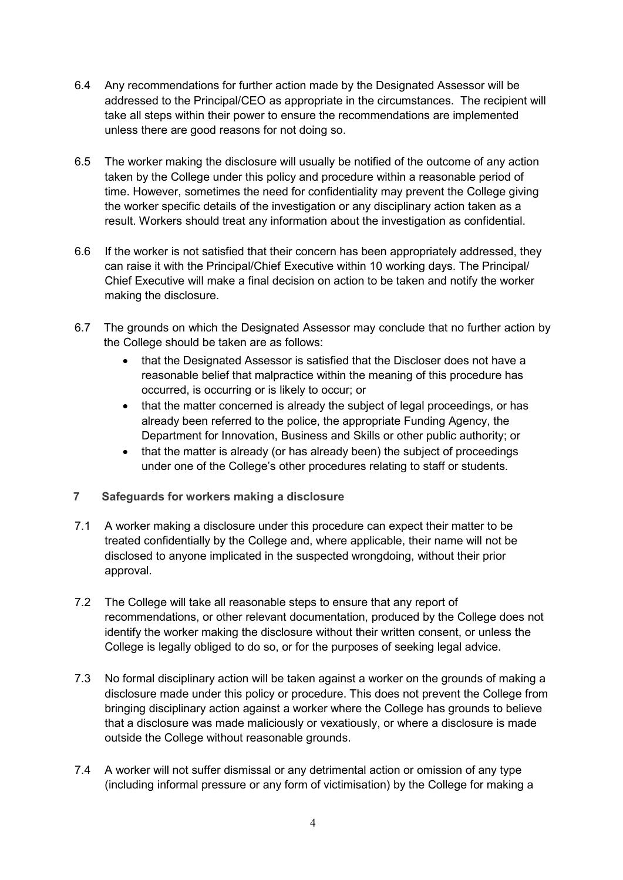- 6.4 Any recommendations for further action made by the Designated Assessor will be addressed to the Principal/CEO as appropriate in the circumstances. The recipient will take all steps within their power to ensure the recommendations are implemented unless there are good reasons for not doing so.
- 6.5 The worker making the disclosure will usually be notified of the outcome of any action taken by the College under this policy and procedure within a reasonable period of time. However, sometimes the need for confidentiality may prevent the College giving the worker specific details of the investigation or any disciplinary action taken as a result. Workers should treat any information about the investigation as confidential.
- 6.6 If the worker is not satisfied that their concern has been appropriately addressed, they can raise it with the Principal/Chief Executive within 10 working days. The Principal/ Chief Executive will make a final decision on action to be taken and notify the worker making the disclosure.
- 6.7 The grounds on which the Designated Assessor may conclude that no further action by the College should be taken are as follows:
	- that the Designated Assessor is satisfied that the Discloser does not have a reasonable belief that malpractice within the meaning of this procedure has occurred, is occurring or is likely to occur; or
	- that the matter concerned is already the subject of legal proceedings, or has already been referred to the police, the appropriate Funding Agency, the Department for Innovation, Business and Skills or other public authority; or
	- that the matter is already (or has already been) the subject of proceedings under one of the College's other procedures relating to staff or students.
- **7 Safeguards for workers making a disclosure**
- 7.1 A worker making a disclosure under this procedure can expect their matter to be treated confidentially by the College and, where applicable, their name will not be disclosed to anyone implicated in the suspected wrongdoing, without their prior approval.
- 7.2 The College will take all reasonable steps to ensure that any report of recommendations, or other relevant documentation, produced by the College does not identify the worker making the disclosure without their written consent, or unless the College is legally obliged to do so, or for the purposes of seeking legal advice.
- 7.3 No formal disciplinary action will be taken against a worker on the grounds of making a disclosure made under this policy or procedure. This does not prevent the College from bringing disciplinary action against a worker where the College has grounds to believe that a disclosure was made maliciously or vexatiously, or where a disclosure is made outside the College without reasonable grounds.
- 7.4 A worker will not suffer dismissal or any detrimental action or omission of any type (including informal pressure or any form of victimisation) by the College for making a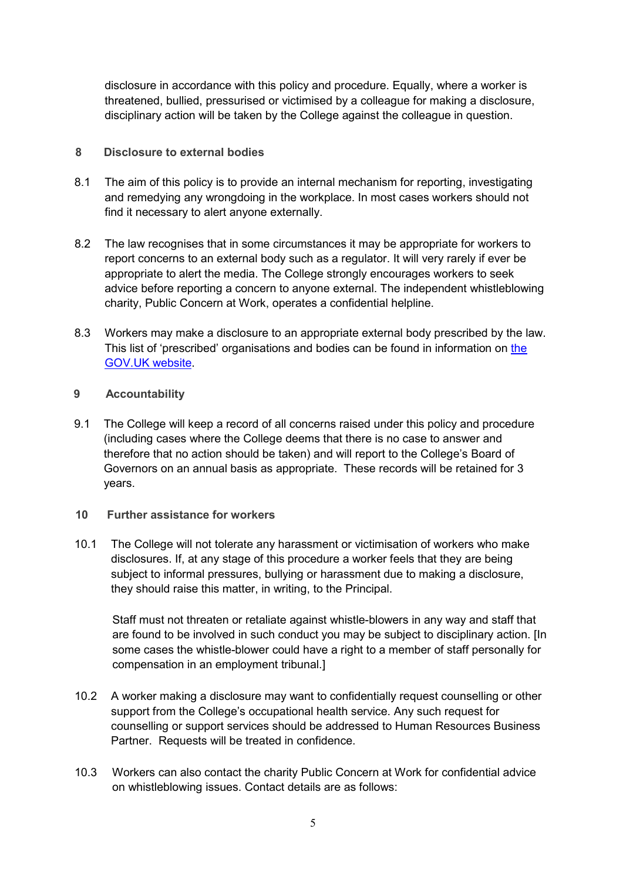disclosure in accordance with this policy and procedure. Equally, where a worker is threatened, bullied, pressurised or victimised by a colleague for making a disclosure, disciplinary action will be taken by the College against the colleague in question.

## **8 Disclosure to external bodies**

- 8.1 The aim of this policy is to provide an internal mechanism for reporting, investigating and remedying any wrongdoing in the workplace. In most cases workers should not find it necessary to alert anyone externally.
- 8.2 The law recognises that in some circumstances it may be appropriate for workers to report concerns to an external body such as a regulator. It will very rarely if ever be appropriate to alert the media. The College strongly encourages workers to seek advice before reporting a concern to anyone external. The independent whistleblowing charity, Public Concern at Work, operates a confidential helpline.
- 8.3 Workers may make a disclosure to an appropriate external body prescribed by the law. This list of 'prescribed' organisations and bodies can be found in information on the GOV.UK website.

## **9 Accountability**

9.1 The College will keep a record of all concerns raised under this policy and procedure (including cases where the College deems that there is no case to answer and therefore that no action should be taken) and will report to the College's Board of Governors on an annual basis as appropriate. These records will be retained for 3 years.

#### **10 Further assistance for workers**

10.1 The College will not tolerate any harassment or victimisation of workers who make disclosures. If, at any stage of this procedure a worker feels that they are being subject to informal pressures, bullying or harassment due to making a disclosure, they should raise this matter, in writing, to the Principal.

Staff must not threaten or retaliate against whistle-blowers in any way and staff that are found to be involved in such conduct you may be subject to disciplinary action. [In some cases the whistle-blower could have a right to a member of staff personally for compensation in an employment tribunal.]

- 10.2 A worker making a disclosure may want to confidentially request counselling or other support from the College's occupational health service. Any such request for counselling or support services should be addressed to Human Resources Business Partner. Requests will be treated in confidence.
- 10.3 Workers can also contact the charity Public Concern at Work for confidential advice on whistleblowing issues. Contact details are as follows: